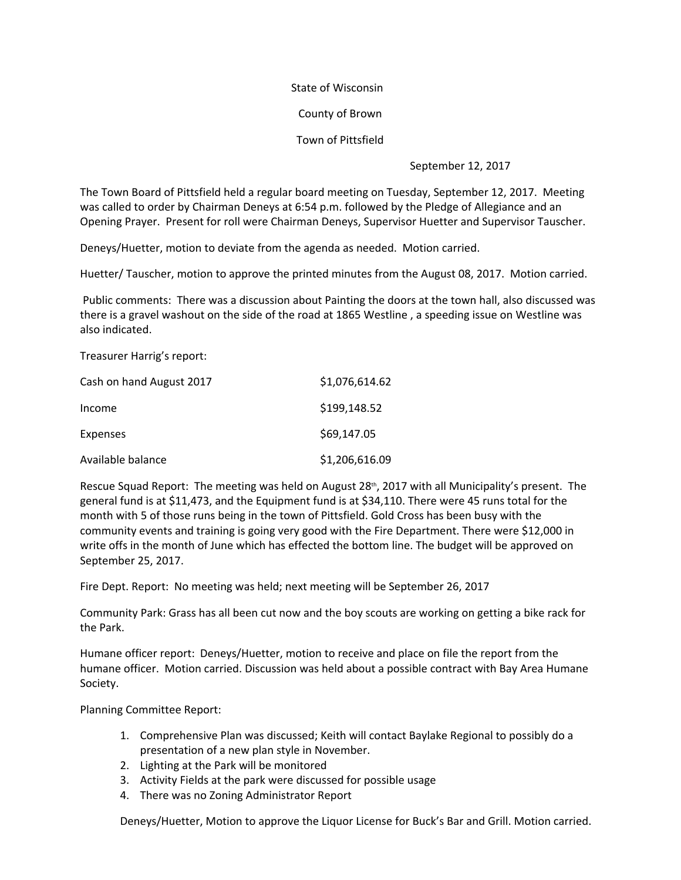## State of Wisconsin

County of Brown

Town of Pittsfield

September 12, 2017

The Town Board of Pittsfield held a regular board meeting on Tuesday, September 12, 2017. Meeting was called to order by Chairman Deneys at 6:54 p.m. followed by the Pledge of Allegiance and an Opening Prayer. Present for roll were Chairman Deneys, Supervisor Huetter and Supervisor Tauscher.

Deneys/Huetter, motion to deviate from the agenda as needed. Motion carried.

Huetter/ Tauscher, motion to approve the printed minutes from the August 08, 2017. Motion carried.

 Public comments: There was a discussion about Painting the doors at the town hall, also discussed was there is a gravel washout on the side of the road at 1865 Westline , a speeding issue on Westline was also indicated.

Treasurer Harrig's report:

| Cash on hand August 2017 | \$1,076,614.62 |
|--------------------------|----------------|
| Income                   | \$199,148.52   |
| Expenses                 | \$69,147.05    |
| Available balance        | \$1,206,616.09 |

Rescue Squad Report: The meeting was held on August 28<sup>th</sup>, 2017 with all Municipality's present. The general fund is at \$11,473, and the Equipment fund is at \$34,110. There were 45 runs total for the month with 5 of those runs being in the town of Pittsfield. Gold Cross has been busy with the community events and training is going very good with the Fire Department. There were \$12,000 in write offs in the month of June which has effected the bottom line. The budget will be approved on September 25, 2017.

Fire Dept. Report: No meeting was held; next meeting will be September 26, 2017

Community Park: Grass has all been cut now and the boy scouts are working on getting a bike rack for the Park.

Humane officer report: Deneys/Huetter, motion to receive and place on file the report from the humane officer. Motion carried. Discussion was held about a possible contract with Bay Area Humane Society.

Planning Committee Report:

- 1. Comprehensive Plan was discussed; Keith will contact Baylake Regional to possibly do a presentation of a new plan style in November.
- 2. Lighting at the Park will be monitored
- 3. Activity Fields at the park were discussed for possible usage
- 

4. There was no Zoning Administrator Report<br>Deneys/Huetter, Motion to approve the Liquor License for Buck's Bar and Grill. Motion carried.